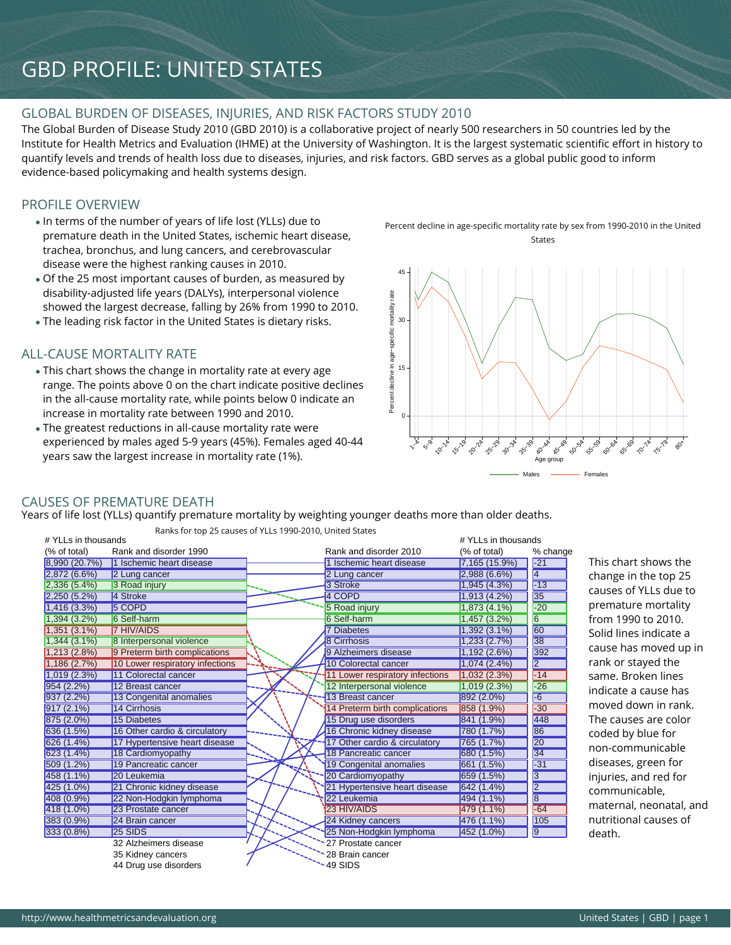# GBD PROFILE: UNITED STATES

## GLOBAL BURDEN OF DISEASES, INJURIES, AND RISK FACTORS STUDY 2010

The Global Burden of Disease Study 2010 (GBD 2010) is a collaborative project of nearly 500 researchers in 50 countries led by the Institute for Health Metrics and Evaluation (IHME) at the University of Washington. It is the largest systematic scientific effort in history to quantify levels and trends of health loss due to diseases, injuries, and risk factors. GBD serves as a global public good to inform evidence-based policymaking and health systems design.

## PROFILE OVERVIEW

- In terms of the number of years of life lost (YLLs) due to premature death in the United States, ischemic heart disease, trachea, bronchus, and lung cancers, and cerebrovascular disease were the highest ranking causes in 2010.
- Of the 25 most important causes of burden, as measured by disability-adjusted life years (DALYs), interpersonal violence showed the largest decrease, falling by 26% from 1990 to 2010.
- The leading risk factor in the United States is dietary risks.

## ALL-CAUSE MORTALITY RATE

- This chart shows the change in mortality rate at every age range. The points above 0 on the chart indicate positive declines in the all-cause mortality rate, while points below 0 indicate an increase in mortality rate between 1990 and 2010.
- The greatest reductions in all-cause mortality rate were experienced by males aged 5-9 years (45%). Females aged 40-44 years saw the largest increase in mortality rate (1%).

Percent decline in age-specific mortality rate by sex from 1990-2010 in the United States



# YLLs in thousands

#### CAUSES OF PREMATURE DEATH

 $H = H \times H$  in the thousands in the thousands of the thousands of the thousands of the thousands of the thousands of the thousands of the thousands of the thousands of the thousands of the three theory. In the thousands of t

Years of life lost (YLLs) quantify premature mortality by weighting younger deaths more than older deaths.

| # TLLS III (IIUUSAIIUS |                                 |                                 | # TLLS III (IIUUSAIIUS |                |                         |
|------------------------|---------------------------------|---------------------------------|------------------------|----------------|-------------------------|
| (% of total)           | Rank and disorder 1990          | Rank and disorder 2010          | (% of total)           | % change       |                         |
| 8,990 (20.7%)          | 1 Ischemic heart disease        | Ischemic heart disease          | 7,165 (15.9%)          | $-21$          | This chart shows the    |
| 2,872(6.6%)            | 2 Lung cancer                   | 2 Lung cancer                   | 2,988(6.6%)            | $\overline{4}$ | change in the top 25    |
| $2,336(5.4\%)$         | 3 Road injury                   | 3 Stroke                        | 1,945(4.3%)            | $-13$          | causes of YLLs due to   |
| $2,250(5.2\%)$         | 4 Stroke                        | 4 COPD                          | 1,913(4.2%)            | 35             |                         |
| 1,416(3.3%)            | 5 COPD                          | 5 Road injury                   | 1,873 (4.1%)           | $-20$          | premature mortality     |
| $1,394(3.2\%)$         | 6 Self-harm                     | 6 Self-harm                     | 1,457(3.2%)            | 6              | from 1990 to 2010.      |
| $1,351(3.1\%)$         | <b>7 HIV/AIDS</b>               | <b>Diabetes</b>                 | $1,392(3.1\%)$         | 60             | Solid lines indicate a  |
| $1,344(3.1\%)$         | 8 Interpersonal violence        | 8 Cirrhosis                     | 1,233(2.7%)            | 38             |                         |
| 1,213(2.8%)            | 9 Preterm birth complications   | 9 Alzheimers disease            | 1,192(2.6%)            | 392            | cause has moved up in   |
| 1,186(2.7%)            | 10 Lower respiratory infections | 10 Colorectal cancer            | 1,074(2.4%)            | $\overline{2}$ | rank or stayed the      |
| 1,019(2.3%)            | 11 Colorectal cancer            | 11 Lower respiratory infections | 1,032(2.3%)            | $-14$          | same. Broken lines      |
| 954(2.2%)              | 12 Breast cancer                | 12 Interpersonal violence       | 1,019(2.3%)            | $-26$          | indicate a cause has    |
| 937(2.2%)              | 13 Congenital anomalies         | 13 Breast cancer                | 892 (2.0%)             | F6             |                         |
| 917(2.1%)              | 14 Cirrhosis                    | 14 Preterm birth complications  | 858 (1.9%)             | $-30$          | moved down in rank.     |
| 875 (2.0%)             | 15 Diabetes                     | 15 Drug use disorders           | 841 (1.9%)             | 448            | The causes are color    |
| 636 (1.5%)             | 16 Other cardio & circulatory   | 16 Chronic kidney disease       | 780 (1.7%)             | 86             | coded by blue for       |
| 626(1.4%)              | 17 Hypertensive heart disease   | 17 Other cardio & circulatory   | 765 (1.7%)             | 20             | non-communicable        |
| 623(1.4%)              | 18 Cardiomyopathy               | 18 Pancreatic cancer            | 680 (1.5%)             | 34             |                         |
| 509(1.2%)              | 19 Pancreatic cancer            | 19 Congenital anomalies         | 661(1.5%)              | $\sqrt{-31}$   | diseases, green for     |
| $458(1.1\%)$           | 20 Leukemia                     | 20 Cardiomyopathy               | 659(1.5%)              | $\overline{3}$ | injuries, and red for   |
| 425 (1.0%)             | 21 Chronic kidney disease       | 21 Hypertensive heart disease   | 642(1.4%)              | $\overline{2}$ | communicable,           |
| 408 (0.9%)             | 22 Non-Hodgkin lymphoma         | 22 Leukemia                     | $494(1.1\%)$           | $\overline{8}$ |                         |
| 418 (1.0%)             | 23 Prostate cancer              | 23 HIV/AIDS                     | 479 (1.1%)             | $-64$          | maternal, neonatal, and |
| 383 (0.9%)             | 24 Brain cancer                 | 24 Kidney cancers               | 476 (1.1%)             | 105            | nutritional causes of   |
| 333(0.8%)              | <b>25 SIDS</b>                  | 25 Non-Hodgkin lymphoma         | 452 (1.0%)             | $\overline{9}$ | death.                  |
|                        | 32 Alzheimers disease           | 27 Prostate cancer              |                        |                |                         |
|                        | 35 Kidney cancers               | 28 Brain cancer                 |                        |                |                         |
|                        | 44 Drug use disorders           | 49 SIDS                         |                        |                |                         |
|                        |                                 |                                 |                        |                |                         |

Ranks for top 25 causes of YLLs 1990-2010, United States

http://www.healthmetricsandevaluation.org **United States | GBD | page 1**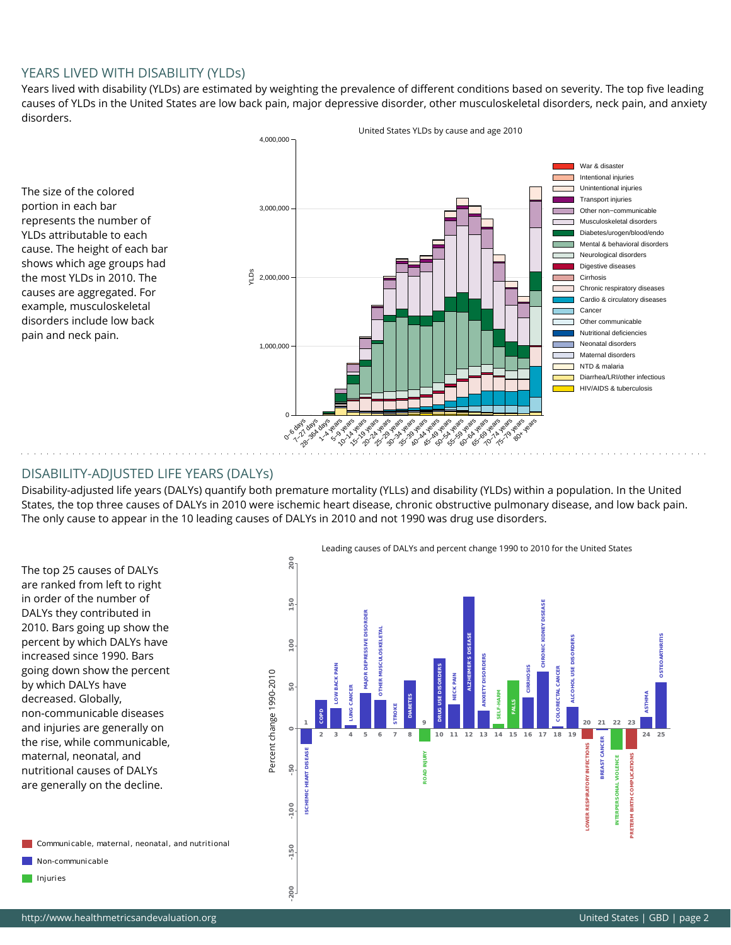#### YEARS LIVED WITH DISABILITY (YLDs)

Years lived with disability (YLDs) are estimated by weighting the prevalence of different conditions based on severity. The top five leading causes of YLDs in the United States are low back pain, major depressive disorder, other musculoskeletal disorders, neck pain, and anxiety disorders.





#### DISABILITY-ADJUSTED LIFE YEARS (DALYs)

Disability-adjusted life years (DALYs) quantify both premature mortality (YLLs) and disability (YLDs) within a population. In the United States, the top three causes of DALYs in 2010 were ischemic heart disease, chronic obstructive pulmonary disease, and low back pain. The only cause to appear in the 10 leading causes of DALYs in 2010 and not 1990 was drug use disorders.

The top 25 causes of DALYs are ranked from left to right in order of the number of DALYs they contributed in 2010. Bars going up show the percent by which DALYs have increased since 1990. Bars going down show the percent by which DALYs have decreased. Globally, non-communicable diseases and injuries are generally on the rise, while communicable, maternal, neonatal, and nutritional causes of DALYs are generally on the decline.

Communicable, maternal, neonatal, and nutritional  $\Box$  Non-communicable

**CO** Injuries



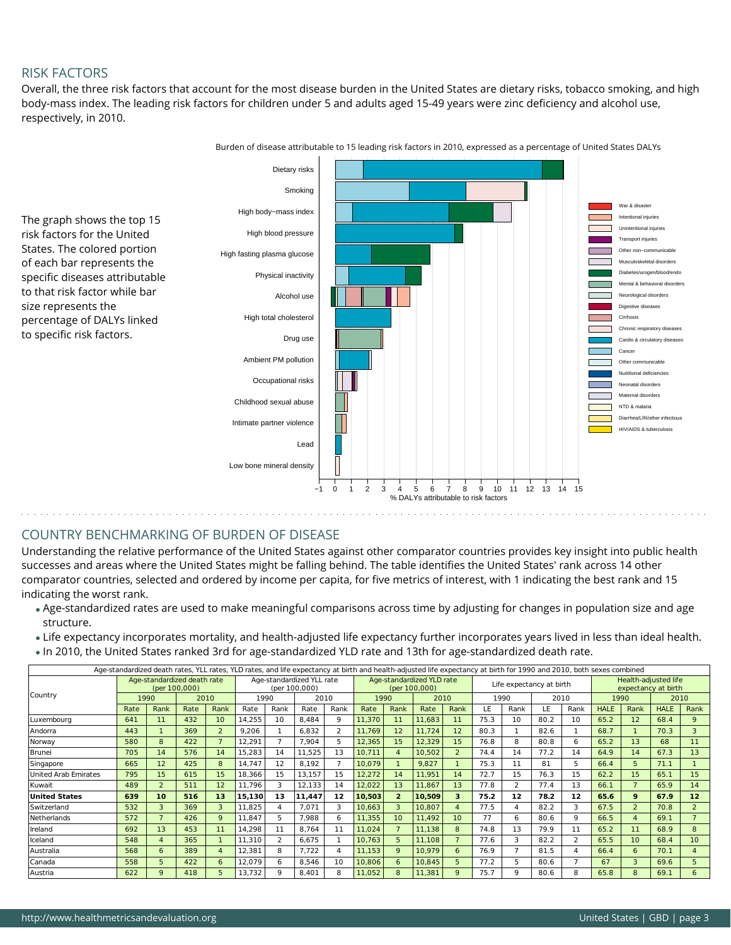## RISK FACTORS

Overall, the three risk factors that account for the most disease burden in the United States are dietary risks, tobacco smoking, and high body-mass index. The leading risk factors for children under 5 and adults aged 15-49 years were zinc deficiency and alcohol use, respectively, in 2010.



Burden of disease attributable to 15 leading risk factors in 2010, expressed as a percentage of United States DALYs

# COUNTRY BENCHMARKING OF BURDEN OF DISEASE

Understanding the relative performance of the United States against other comparator countries provides key insight into public health successes and areas where the United States might be falling behind. The table identifies the United States' rank across 14 other comparator countries, selected and ordered by income per capita, for five metrics of interest, with 1 indicating the best rank and 15 indicating the worst rank.

- Age-standardized rates are used to make meaningful comparisons across time by adjusting for changes in population size and age structure.
- Life expectancy incorporates mortality, and health-adjusted life expectancy further incorporates years lived in less than ideal health.
- In 2010, the United States ranked 3rd for age-standardized YLD rate and 13th for age-standardized death rate.

|                      |                                              |                |      |                | Age-standardized death rates, YLL rates, YLD rates, and life expectancy at birth and health-adjusted life expectancy at birth for 1990 and 2010, both sexes combined |      |        |                |        |                |                                            |                |      |                |                          |      |                                             |                |             |                |  |
|----------------------|----------------------------------------------|----------------|------|----------------|----------------------------------------------------------------------------------------------------------------------------------------------------------------------|------|--------|----------------|--------|----------------|--------------------------------------------|----------------|------|----------------|--------------------------|------|---------------------------------------------|----------------|-------------|----------------|--|
|                      | Age-standardized death rate<br>(per 100,000) |                |      |                | Age-standardized YLL rate<br>(per 100,000)                                                                                                                           |      |        |                |        |                | Age-standardized YLD rate<br>(per 100,000) |                |      |                | Life expectancy at birth |      | Health-adjusted life<br>expectancy at birth |                |             |                |  |
| Country              |                                              | 1990           |      | 2010           |                                                                                                                                                                      | 1990 |        | 2010           |        | 1990           |                                            | 2010           |      | 1990           |                          | 2010 |                                             | 1990           |             | 2010           |  |
|                      | Rate                                         | Rank           | Rate | Rank           | Rate                                                                                                                                                                 | Rank | Rate   | Rank           | Rate   | Rank           | Rate                                       | Rank           | LE   | Rank           | LE.                      | Rank | <b>HALE</b>                                 | Rank           | <b>HALE</b> | Rank           |  |
| Luxembourg           | 641                                          | 11             | 432  | 10             | 14,255                                                                                                                                                               | 10   | 8,484  | 9              | 11,370 | 11             | 11,683                                     | 11             | 75.3 | 10             | 80.2                     | 10   | 65.2                                        | 12             | 68.4        | 9              |  |
| Andorra              | 443                                          |                | 369  | $\overline{2}$ | 9,206                                                                                                                                                                |      | 6,832  | $\overline{2}$ | 11,769 | 12             | 11,724                                     | 12             | 80.3 |                | 82.6                     |      | 68.7                                        |                | 70.3        | 3              |  |
| Norway               | 580                                          | 8              | 422  |                | 12,291                                                                                                                                                               |      | 7,904  | 5              | 12,365 | 15             | 12,329                                     | 15             | 76.8 | 8              | 80.8                     | 6    | 65.2                                        | 13             | 68          | 11             |  |
| Brunei               | 705                                          | 14             | 576  | 14             | 15,283                                                                                                                                                               | 14   | 11,525 | 13             | 10.711 | $\overline{a}$ | 10,502                                     | $\overline{2}$ | 74.4 | 14             | 77.2                     | 14   | 64.9                                        | 14             | 67.3        | 13             |  |
| Singapore            | 665                                          | 12             | 425  | 8              | 14.747                                                                                                                                                               | 12   | 8,192  | $\overline{7}$ | 10.079 |                | 9.827                                      |                | 75.3 | 11             | 81                       | 5    | 66.4                                        | 5              | 71.1        |                |  |
| United Arab Emirates | 795                                          | 15             | 615  | 15             | 18,366                                                                                                                                                               | 15   | 13,157 | 15             | 12,272 | 14             | 11,951                                     | 14             | 72.7 | 15             | 76.3                     | 15   | 62.2                                        | 15             | 65.1        | 15             |  |
| Kuwait               | 489                                          |                | 511  | 12             | 11,796                                                                                                                                                               |      | 12,133 | 14             | 12,022 | 13             | 11,867                                     | 13             | 77.8 |                | 77.4                     | 13   | 66.1                                        |                | 65.9        | 14             |  |
| <b>United States</b> | 639                                          | 10             | 516  | 13             | 15,130                                                                                                                                                               | 13   | 11,447 | 12             | 10,503 | 2              | 10,509                                     | 3              | 75.2 | $12$           | 78.2                     | 12   | 65.6                                        | 9              | 67.9        | 12             |  |
| Switzerland          | 532                                          | 3              | 369  | 3              | 11.825                                                                                                                                                               |      | 7.071  | 3              | 10.663 | В              | 10,807                                     | $\overline{a}$ | 77.5 | $\overline{a}$ | 82.2                     | 3    | 67.5                                        | $\overline{z}$ | 70.8        | $\overline{2}$ |  |
| Netherlands          | 572                                          |                | 426  | 9              | 11.847                                                                                                                                                               | 5    | 7,988  | 6              | 11,355 | 10             | 11,492                                     | 10             | 77   | 6              | 80.6                     | 9    | 66.5                                        | $\overline{a}$ | 69.1        |                |  |
| Ireland              | 692                                          | 13             | 453  | 11             | 14,298                                                                                                                                                               | 11   | 8.764  | 11             | 11,024 |                | 11,138                                     | 8              | 74.8 | 13             | 79.9                     | 11   | 65.2                                        | 11             | 68.9        | 8              |  |
| Iceland              | 548                                          | $\overline{4}$ | 365  |                | 11,310                                                                                                                                                               |      | 6,675  |                | 10,763 | 5              | 11,108                                     |                | 77.6 | 3              | 82.2                     | 2    | 65.5                                        | 10             | 68.4        | 10             |  |
| Australia            | 568                                          | 6              | 389  | $\overline{4}$ | 12,381                                                                                                                                                               | 8    | 7.722  | 4              | 11,153 | q              | 10,979                                     | 6              | 76.9 |                | 81.5                     | 4    | 66.4                                        | 6              | 70.1        | $\overline{4}$ |  |
| Canada               | 558                                          | 5              | 422  | 6              | 12.079                                                                                                                                                               | 6    | 8.546  | 10             | 10,806 | 6              | 10,845                                     | 5              | 77.2 | 5              | 80.6                     |      | 67                                          | В              | 69.6        | 5              |  |
| Austria              | 622                                          | 9              | 418  | 5              | 13,732                                                                                                                                                               | q    | 8,401  | 8              | 11,052 | 8              | 11,381                                     | 9              | 75.7 | 9              | 80.6                     | 8    | 65.8                                        | 8              | 69.1        |                |  |